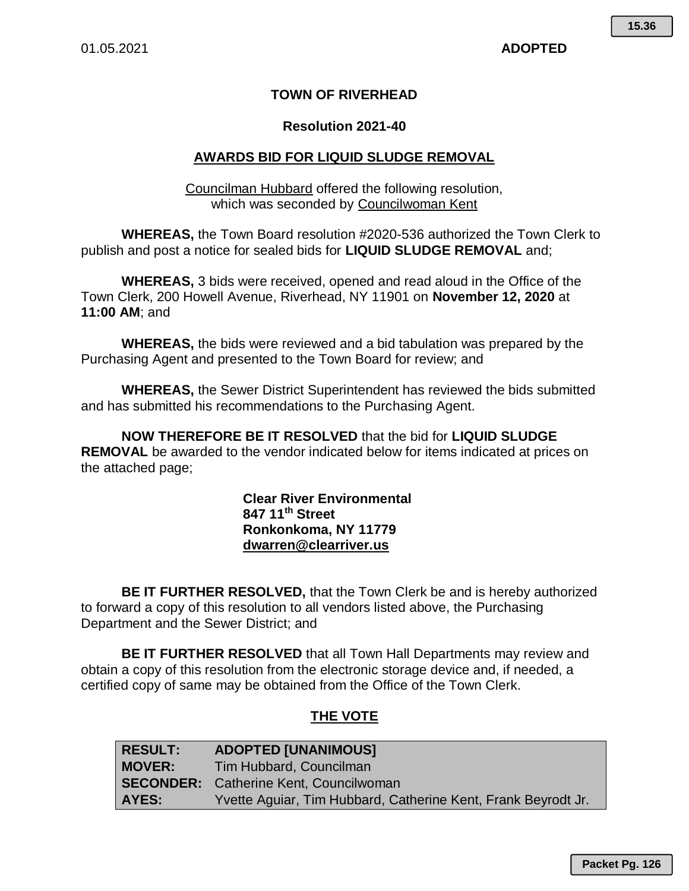## **TOWN OF RIVERHEAD**

#### **Resolution 2021-40**

## **AWARDS BID FOR LIQUID SLUDGE REMOVAL**

Councilman Hubbard offered the following resolution, which was seconded by Councilwoman Kent

**WHEREAS,** the Town Board resolution #2020-536 authorized the Town Clerk to publish and post a notice for sealed bids for **LIQUID SLUDGE REMOVAL** and;

**WHEREAS,** 3 bids were received, opened and read aloud in the Office of the Town Clerk, 200 Howell Avenue, Riverhead, NY 11901 on **November 12, 2020** at **11:00 AM**; and

**WHEREAS,** the bids were reviewed and a bid tabulation was prepared by the Purchasing Agent and presented to the Town Board for review; and

**WHEREAS,** the Sewer District Superintendent has reviewed the bids submitted and has submitted his recommendations to the Purchasing Agent.

**NOW THEREFORE BE IT RESOLVED** that the bid for **LIQUID SLUDGE REMOVAL** be awarded to the vendor indicated below for items indicated at prices on the attached page;

> **Clear River Environmental 847 11th Street Ronkonkoma, NY 11779 dwarren@clearriver.us**

**BE IT FURTHER RESOLVED,** that the Town Clerk be and is hereby authorized to forward a copy of this resolution to all vendors listed above, the Purchasing Department and the Sewer District; and

**BE IT FURTHER RESOLVED** that all Town Hall Departments may review and obtain a copy of this resolution from the electronic storage device and, if needed, a certified copy of same may be obtained from the Office of the Town Clerk.

## **THE VOTE**

| <b>RESULT:</b> | <b>ADOPTED [UNANIMOUS]</b>                                    |
|----------------|---------------------------------------------------------------|
| <b>MOVER:</b>  | Tim Hubbard, Councilman                                       |
|                | <b>SECONDER:</b> Catherine Kent, Councilwoman                 |
| AYES:          | Yvette Aguiar, Tim Hubbard, Catherine Kent, Frank Beyrodt Jr. |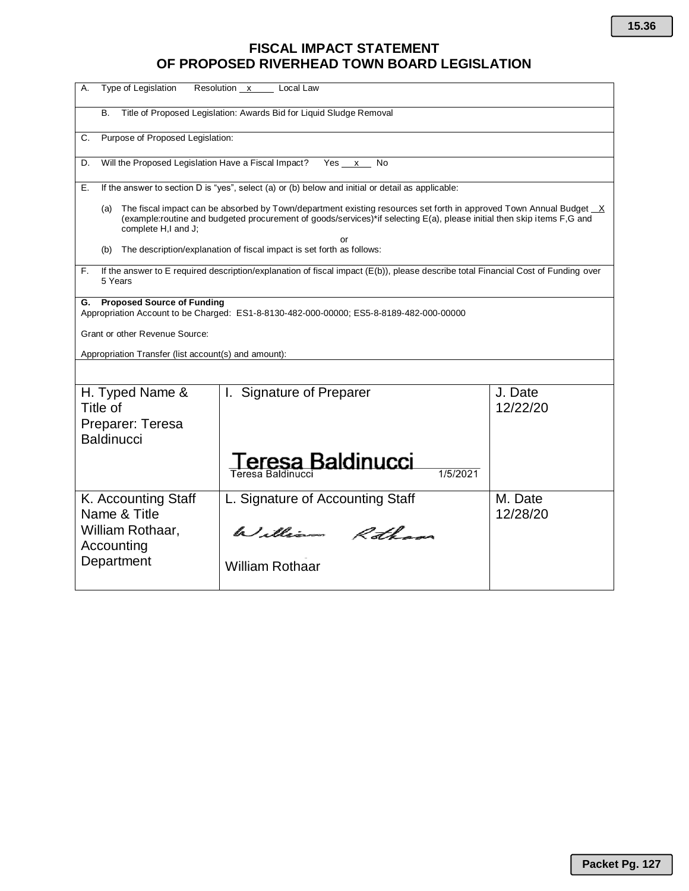# **FISCAL IMPACT STATEMENT OF PROPOSED RIVERHEAD TOWN BOARD LEGISLATION**

| Type of Legislation<br>А.                                                                                                                                                                                                                                                  | Resolution x Local Law                                                                  |                     |  |  |  |  |  |  |  |
|----------------------------------------------------------------------------------------------------------------------------------------------------------------------------------------------------------------------------------------------------------------------------|-----------------------------------------------------------------------------------------|---------------------|--|--|--|--|--|--|--|
| Title of Proposed Legislation: Awards Bid for Liquid Sludge Removal<br>В.                                                                                                                                                                                                  |                                                                                         |                     |  |  |  |  |  |  |  |
| Purpose of Proposed Legislation:<br>C.                                                                                                                                                                                                                                     |                                                                                         |                     |  |  |  |  |  |  |  |
| Will the Proposed Legislation Have a Fiscal Impact?<br>Yes x<br>D.<br>No                                                                                                                                                                                                   |                                                                                         |                     |  |  |  |  |  |  |  |
| If the answer to section D is "yes", select (a) or (b) below and initial or detail as applicable:<br>Е.                                                                                                                                                                    |                                                                                         |                     |  |  |  |  |  |  |  |
| The fiscal impact can be absorbed by Town/department existing resources set forth in approved Town Annual Budget X<br>(a)<br>(example:routine and budgeted procurement of goods/services)*if selecting E(a), please initial then skip items F,G and<br>complete H,I and J; |                                                                                         |                     |  |  |  |  |  |  |  |
| or<br>The description/explanation of fiscal impact is set forth as follows:<br>(b)                                                                                                                                                                                         |                                                                                         |                     |  |  |  |  |  |  |  |
| If the answer to E required description/explanation of fiscal impact (E(b)), please describe total Financial Cost of Funding over<br>F.<br>5 Years                                                                                                                         |                                                                                         |                     |  |  |  |  |  |  |  |
| <b>Proposed Source of Funding</b><br>G.                                                                                                                                                                                                                                    | Appropriation Account to be Charged: ES1-8-8130-482-000-00000; ES5-8-8189-482-000-00000 |                     |  |  |  |  |  |  |  |
| Grant or other Revenue Source:                                                                                                                                                                                                                                             |                                                                                         |                     |  |  |  |  |  |  |  |
| Appropriation Transfer (list account(s) and amount):                                                                                                                                                                                                                       |                                                                                         |                     |  |  |  |  |  |  |  |
|                                                                                                                                                                                                                                                                            |                                                                                         |                     |  |  |  |  |  |  |  |
| H. Typed Name &<br>Title of                                                                                                                                                                                                                                                | <b>Signature of Preparer</b><br>Ι.                                                      | J. Date<br>12/22/20 |  |  |  |  |  |  |  |
| Preparer: Teresa<br><b>Baldinucci</b>                                                                                                                                                                                                                                      |                                                                                         |                     |  |  |  |  |  |  |  |
|                                                                                                                                                                                                                                                                            | sa Baldinucci<br>1/5/2021<br>Teresa Baldinucci                                          |                     |  |  |  |  |  |  |  |
|                                                                                                                                                                                                                                                                            |                                                                                         |                     |  |  |  |  |  |  |  |
| K. Accounting Staff<br>Name & Title                                                                                                                                                                                                                                        | L. Signature of Accounting Staff                                                        | M. Date<br>12/28/20 |  |  |  |  |  |  |  |
| William Rothaar,<br>Accounting                                                                                                                                                                                                                                             | William Rotham                                                                          |                     |  |  |  |  |  |  |  |
| Department                                                                                                                                                                                                                                                                 | <b>William Rothaar</b>                                                                  |                     |  |  |  |  |  |  |  |